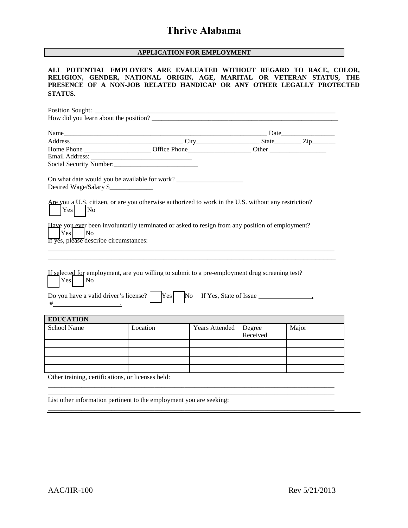#### **APPLICATION FOR EMPLOYMENT**

#### **ALL POTENTIAL EMPLOYEES ARE EVALUATED WITHOUT REGARD TO RACE, COLOR, RELIGION, GENDER, NATIONAL ORIGIN, AGE, MARITAL OR VETERAN STATUS, THE PRESENCE OF A NON-JOB RELATED HANDICAP OR ANY OTHER LEGALLY PROTECTED STATUS.**

| Position Sought: _______                                                                                                                                                                                                                                                         |          |                       |                    |       |  |
|----------------------------------------------------------------------------------------------------------------------------------------------------------------------------------------------------------------------------------------------------------------------------------|----------|-----------------------|--------------------|-------|--|
| How did you learn about the position?                                                                                                                                                                                                                                            |          |                       |                    |       |  |
| Name                                                                                                                                                                                                                                                                             |          | <b>Date</b>           |                    |       |  |
|                                                                                                                                                                                                                                                                                  |          |                       |                    |       |  |
|                                                                                                                                                                                                                                                                                  |          |                       |                    |       |  |
|                                                                                                                                                                                                                                                                                  |          |                       |                    |       |  |
|                                                                                                                                                                                                                                                                                  |          |                       |                    |       |  |
| On what date would you be available for work? __________________________________<br>Desired Wage/Salary \$                                                                                                                                                                       |          |                       |                    |       |  |
| Are you a U.S. citizen, or are you otherwise authorized to work in the U.S. without any restriction?<br>Yes<br>$\overline{\rm No}$                                                                                                                                               |          |                       |                    |       |  |
| Have you ever been involuntarily terminated or asked to resign from any position of employment?<br>$Yes$ No<br>If yes, please describe circumstances:                                                                                                                            |          |                       |                    |       |  |
| If selected for employment, are you willing to submit to a pre-employment drug screening test?<br>$Yes$ No                                                                                                                                                                       |          |                       |                    |       |  |
| Do you have a valid driver's license? $ $ [Yes]<br>$\#$ . The contract of the contract of the contract of the contract of the contract of the contract of the contract of the contract of the contract of the contract of the contract of the contract of the contract of the co |          |                       |                    |       |  |
| <b>EDUCATION</b>                                                                                                                                                                                                                                                                 |          |                       |                    |       |  |
| <b>School Name</b>                                                                                                                                                                                                                                                               | Location | <b>Years Attended</b> | Degree<br>Received | Major |  |
|                                                                                                                                                                                                                                                                                  |          |                       |                    |       |  |
|                                                                                                                                                                                                                                                                                  |          |                       |                    |       |  |
|                                                                                                                                                                                                                                                                                  |          |                       |                    |       |  |
|                                                                                                                                                                                                                                                                                  |          |                       |                    |       |  |
| Other training, certifications, or licenses held:                                                                                                                                                                                                                                |          |                       |                    |       |  |
|                                                                                                                                                                                                                                                                                  |          |                       |                    |       |  |

\_\_\_\_\_\_\_\_\_\_\_\_\_\_\_\_\_\_\_\_\_\_\_\_\_\_\_\_\_\_\_\_\_\_\_\_\_\_\_\_\_\_\_\_\_\_\_\_\_\_\_\_\_\_\_\_\_\_\_\_\_\_\_\_\_\_\_\_\_\_\_\_\_\_\_\_\_\_\_\_\_\_\_\_\_\_

\_\_\_\_\_\_\_\_\_\_\_\_\_\_\_\_\_\_\_\_\_\_\_\_\_\_\_\_\_\_\_\_\_\_\_\_\_\_\_\_\_\_\_\_\_\_\_\_\_\_\_\_\_\_\_\_\_\_\_\_\_\_\_\_\_\_\_\_\_\_\_\_\_\_\_\_\_\_\_\_\_\_\_\_\_\_

List other information pertinent to the employment you are seeking: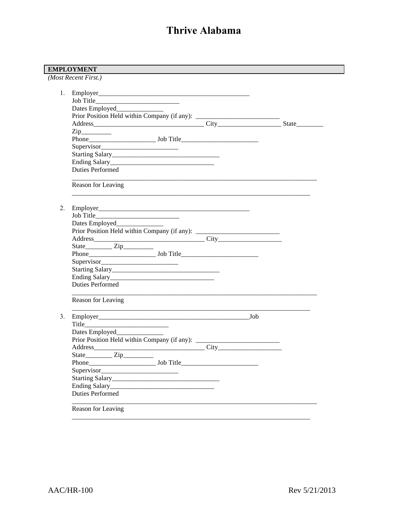|    | Dates Employed________________                                                   |  |  |
|----|----------------------------------------------------------------------------------|--|--|
|    |                                                                                  |  |  |
|    |                                                                                  |  |  |
|    | $\mathsf{Zip}\_$                                                                 |  |  |
|    |                                                                                  |  |  |
|    |                                                                                  |  |  |
|    |                                                                                  |  |  |
|    |                                                                                  |  |  |
|    | <b>Duties Performed</b>                                                          |  |  |
|    | Reason for Leaving                                                               |  |  |
|    |                                                                                  |  |  |
| 2. |                                                                                  |  |  |
|    |                                                                                  |  |  |
|    |                                                                                  |  |  |
|    | Prior Position Held within Company (if any): ___________________________________ |  |  |
|    |                                                                                  |  |  |
|    |                                                                                  |  |  |
|    |                                                                                  |  |  |
|    |                                                                                  |  |  |
|    |                                                                                  |  |  |
|    |                                                                                  |  |  |
|    | <b>Duties Performed</b>                                                          |  |  |
|    | Reason for Leaving                                                               |  |  |
|    |                                                                                  |  |  |
|    |                                                                                  |  |  |
|    | Dates Employed_______________                                                    |  |  |
|    |                                                                                  |  |  |
|    |                                                                                  |  |  |
|    | State <u>Zip</u>                                                                 |  |  |
|    | Phone                                                                            |  |  |
|    | Supervisor                                                                       |  |  |
|    |                                                                                  |  |  |
|    |                                                                                  |  |  |
|    | <b>Duties Performed</b>                                                          |  |  |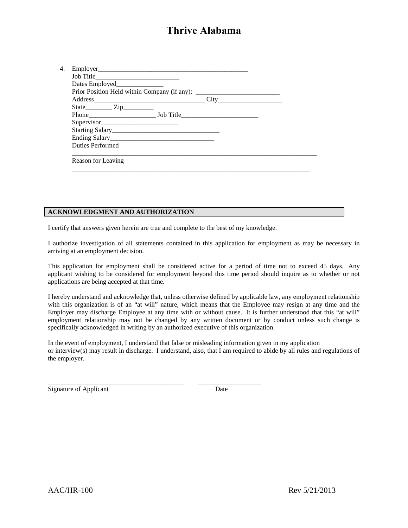| Dates Employed________________                                                   |  |  |
|----------------------------------------------------------------------------------|--|--|
| Prior Position Held within Company (if any): ___________________________________ |  |  |
|                                                                                  |  |  |
| $State$ $Zip$                                                                    |  |  |
|                                                                                  |  |  |
| Supervisor                                                                       |  |  |
|                                                                                  |  |  |
|                                                                                  |  |  |
| <b>Duties Performed</b>                                                          |  |  |
|                                                                                  |  |  |
| Reason for Leaving                                                               |  |  |
|                                                                                  |  |  |

#### **ACKNOWLEDGMENT AND AUTHORIZATION**

I certify that answers given herein are true and complete to the best of my knowledge.

I authorize investigation of all statements contained in this application for employment as may be necessary in arriving at an employment decision.

This application for employment shall be considered active for a period of time not to exceed 45 days. Any applicant wishing to be considered for employment beyond this time period should inquire as to whether or not applications are being accepted at that time.

I hereby understand and acknowledge that, unless otherwise defined by applicable law, any employment relationship with this organization is of an "at will" nature, which means that the Employee may resign at any time and the Employer may discharge Employee at any time with or without cause. It is further understood that this "at will" employment relationship may not be changed by any written document or by conduct unless such change is specifically acknowledged in writing by an authorized executive of this organization.

In the event of employment, I understand that false or misleading information given in my application or interview(s) may result in discharge. I understand, also, that I am required to abide by all rules and regulations of the employer.

\_\_\_\_\_\_\_\_\_\_\_\_\_\_\_\_\_\_\_\_\_\_\_\_\_\_\_\_\_\_\_\_\_\_\_\_\_\_\_\_\_ \_\_\_\_\_\_\_\_\_\_\_\_\_\_\_\_\_\_\_ Signature of Applicant Date